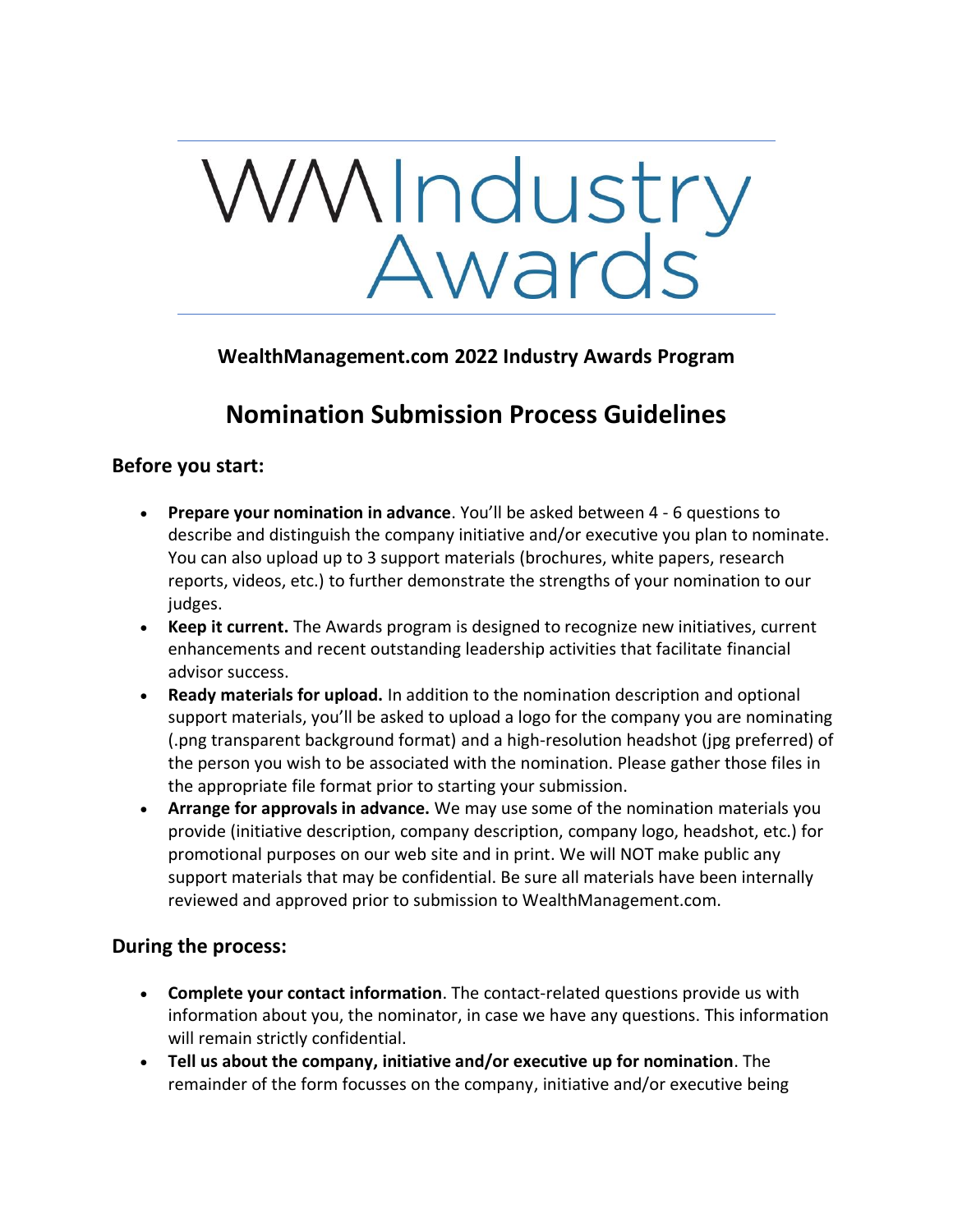

## **WealthManagement.com 2022 Industry Awards Program**

# **Nomination Submission Process Guidelines**

### **Before you start:**

- **Prepare your nomination in advance**. You'll be asked between 4 6 questions to describe and distinguish the company initiative and/or executive you plan to nominate. You can also upload up to 3 support materials (brochures, white papers, research reports, videos, etc.) to further demonstrate the strengths of your nomination to our judges.
- **Keep it current.** The Awards program is designed to recognize new initiatives, current enhancements and recent outstanding leadership activities that facilitate financial advisor success.
- **Ready materials for upload.** In addition to the nomination description and optional support materials, you'll be asked to upload a logo for the company you are nominating (.png transparent background format) and a high-resolution headshot (jpg preferred) of the person you wish to be associated with the nomination. Please gather those files in the appropriate file format prior to starting your submission.
- **Arrange for approvals in advance.** We may use some of the nomination materials you provide (initiative description, company description, company logo, headshot, etc.) for promotional purposes on our web site and in print. We will NOT make public any support materials that may be confidential. Be sure all materials have been internally reviewed and approved prior to submission to WealthManagement.com.

#### **During the process:**

- **Complete your contact information**. The contact-related questions provide us with information about you, the nominator, in case we have any questions. This information will remain strictly confidential.
- **Tell us about the company, initiative and/or executive up for nomination**. The remainder of the form focusses on the company, initiative and/or executive being